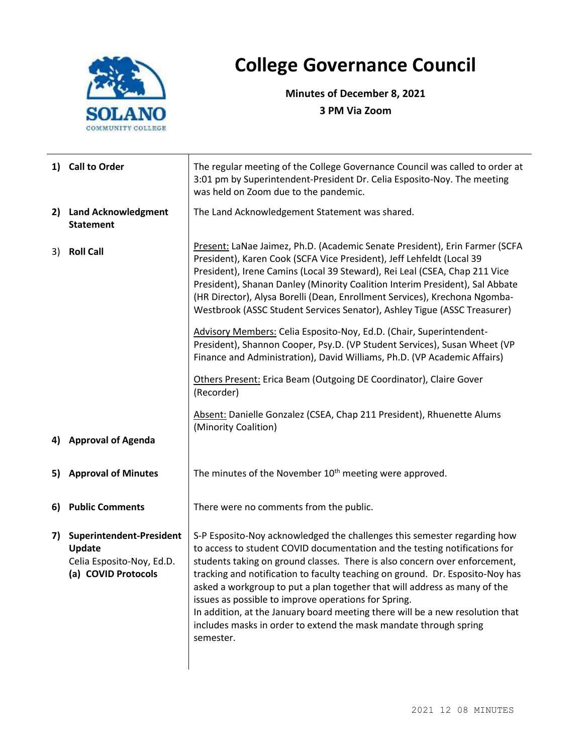

## **College Governance Council**

**Minutes of December 8, 2021 3 PM Via Zoom**

|    | 1) Call to Order                                                                       | The regular meeting of the College Governance Council was called to order at<br>3:01 pm by Superintendent-President Dr. Celia Esposito-Noy. The meeting<br>was held on Zoom due to the pandemic.                                                                                                                                                                                                                                                                                                                                                                                                                                                                                                             |  |
|----|----------------------------------------------------------------------------------------|--------------------------------------------------------------------------------------------------------------------------------------------------------------------------------------------------------------------------------------------------------------------------------------------------------------------------------------------------------------------------------------------------------------------------------------------------------------------------------------------------------------------------------------------------------------------------------------------------------------------------------------------------------------------------------------------------------------|--|
|    | 2) Land Acknowledgment<br><b>Statement</b>                                             | The Land Acknowledgement Statement was shared.                                                                                                                                                                                                                                                                                                                                                                                                                                                                                                                                                                                                                                                               |  |
| 3) | <b>Roll Call</b>                                                                       | Present: LaNae Jaimez, Ph.D. (Academic Senate President), Erin Farmer (SCFA<br>President), Karen Cook (SCFA Vice President), Jeff Lehfeldt (Local 39<br>President), Irene Camins (Local 39 Steward), Rei Leal (CSEA, Chap 211 Vice<br>President), Shanan Danley (Minority Coalition Interim President), Sal Abbate<br>(HR Director), Alysa Borelli (Dean, Enrollment Services), Krechona Ngomba-<br>Westbrook (ASSC Student Services Senator), Ashley Tigue (ASSC Treasurer)<br>Advisory Members: Celia Esposito-Noy, Ed.D. (Chair, Superintendent-<br>President), Shannon Cooper, Psy.D. (VP Student Services), Susan Wheet (VP<br>Finance and Administration), David Williams, Ph.D. (VP Academic Affairs) |  |
|    |                                                                                        | Others Present: Erica Beam (Outgoing DE Coordinator), Claire Gover<br>(Recorder)                                                                                                                                                                                                                                                                                                                                                                                                                                                                                                                                                                                                                             |  |
|    |                                                                                        | Absent: Danielle Gonzalez (CSEA, Chap 211 President), Rhuenette Alums<br>(Minority Coalition)                                                                                                                                                                                                                                                                                                                                                                                                                                                                                                                                                                                                                |  |
|    | 4) Approval of Agenda                                                                  |                                                                                                                                                                                                                                                                                                                                                                                                                                                                                                                                                                                                                                                                                                              |  |
| 5) | <b>Approval of Minutes</b>                                                             | The minutes of the November 10 <sup>th</sup> meeting were approved.                                                                                                                                                                                                                                                                                                                                                                                                                                                                                                                                                                                                                                          |  |
| 6) | <b>Public Comments</b>                                                                 | There were no comments from the public.                                                                                                                                                                                                                                                                                                                                                                                                                                                                                                                                                                                                                                                                      |  |
| 7) | Superintendent-President<br>Update<br>Celia Esposito-Noy, Ed.D.<br>(a) COVID Protocols | S-P Esposito-Noy acknowledged the challenges this semester regarding how<br>to access to student COVID documentation and the testing notifications for<br>students taking on ground classes. There is also concern over enforcement,<br>tracking and notification to faculty teaching on ground. Dr. Esposito-Noy has<br>asked a workgroup to put a plan together that will address as many of the<br>issues as possible to improve operations for Spring.<br>In addition, at the January board meeting there will be a new resolution that<br>includes masks in order to extend the mask mandate through spring<br>semester.                                                                                |  |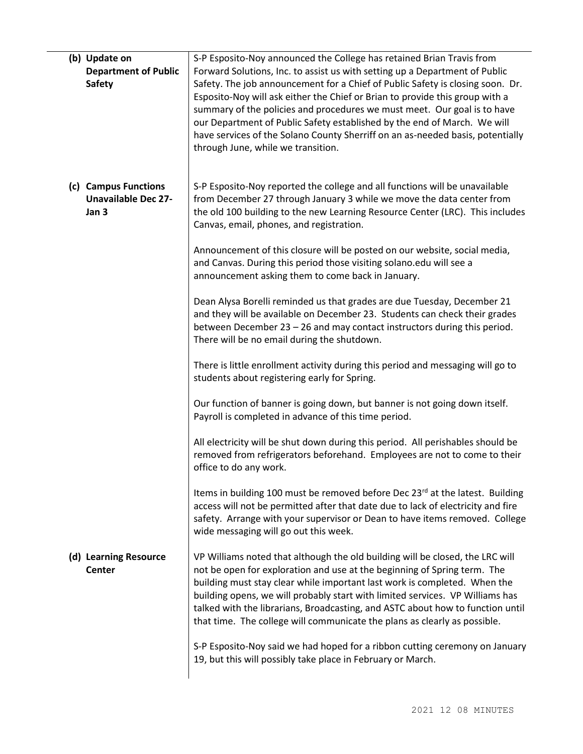| (b) Update on<br><b>Department of Public</b><br><b>Safety</b> | S-P Esposito-Noy announced the College has retained Brian Travis from<br>Forward Solutions, Inc. to assist us with setting up a Department of Public<br>Safety. The job announcement for a Chief of Public Safety is closing soon. Dr.<br>Esposito-Noy will ask either the Chief or Brian to provide this group with a<br>summary of the policies and procedures we must meet. Our goal is to have<br>our Department of Public Safety established by the end of March. We will<br>have services of the Solano County Sherriff on an as-needed basis, potentially<br>through June, while we transition. |
|---------------------------------------------------------------|--------------------------------------------------------------------------------------------------------------------------------------------------------------------------------------------------------------------------------------------------------------------------------------------------------------------------------------------------------------------------------------------------------------------------------------------------------------------------------------------------------------------------------------------------------------------------------------------------------|
| (c) Campus Functions<br><b>Unavailable Dec 27-</b><br>Jan 3   | S-P Esposito-Noy reported the college and all functions will be unavailable<br>from December 27 through January 3 while we move the data center from<br>the old 100 building to the new Learning Resource Center (LRC). This includes<br>Canvas, email, phones, and registration.                                                                                                                                                                                                                                                                                                                      |
|                                                               | Announcement of this closure will be posted on our website, social media,<br>and Canvas. During this period those visiting solano.edu will see a<br>announcement asking them to come back in January.                                                                                                                                                                                                                                                                                                                                                                                                  |
|                                                               | Dean Alysa Borelli reminded us that grades are due Tuesday, December 21<br>and they will be available on December 23. Students can check their grades<br>between December 23 - 26 and may contact instructors during this period.<br>There will be no email during the shutdown.                                                                                                                                                                                                                                                                                                                       |
|                                                               | There is little enrollment activity during this period and messaging will go to<br>students about registering early for Spring.                                                                                                                                                                                                                                                                                                                                                                                                                                                                        |
|                                                               | Our function of banner is going down, but banner is not going down itself.<br>Payroll is completed in advance of this time period.                                                                                                                                                                                                                                                                                                                                                                                                                                                                     |
|                                                               | All electricity will be shut down during this period. All perishables should be<br>removed from refrigerators beforehand. Employees are not to come to their<br>office to do any work.                                                                                                                                                                                                                                                                                                                                                                                                                 |
|                                                               | Items in building 100 must be removed before Dec 23 <sup>rd</sup> at the latest. Building<br>access will not be permitted after that date due to lack of electricity and fire<br>safety. Arrange with your supervisor or Dean to have items removed. College<br>wide messaging will go out this week.                                                                                                                                                                                                                                                                                                  |
| (d) Learning Resource<br>Center                               | VP Williams noted that although the old building will be closed, the LRC will<br>not be open for exploration and use at the beginning of Spring term. The<br>building must stay clear while important last work is completed. When the<br>building opens, we will probably start with limited services. VP Williams has<br>talked with the librarians, Broadcasting, and ASTC about how to function until<br>that time. The college will communicate the plans as clearly as possible.                                                                                                                 |
|                                                               | S-P Esposito-Noy said we had hoped for a ribbon cutting ceremony on January<br>19, but this will possibly take place in February or March.                                                                                                                                                                                                                                                                                                                                                                                                                                                             |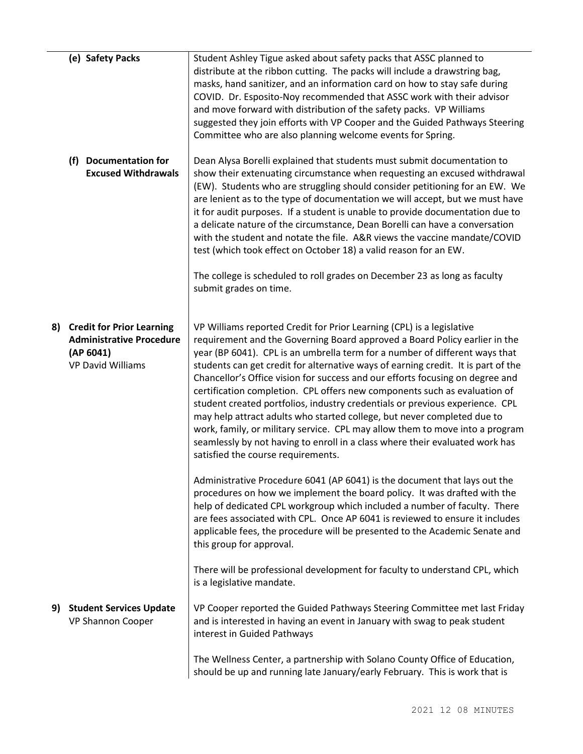|    | (e) Safety Packs                                                                                             | Student Ashley Tigue asked about safety packs that ASSC planned to<br>distribute at the ribbon cutting. The packs will include a drawstring bag,<br>masks, hand sanitizer, and an information card on how to stay safe during<br>COVID. Dr. Esposito-Noy recommended that ASSC work with their advisor<br>and move forward with distribution of the safety packs. VP Williams<br>suggested they join efforts with VP Cooper and the Guided Pathways Steering<br>Committee who are also planning welcome events for Spring.                                                                                                                                                                                                                                                                                                                             |
|----|--------------------------------------------------------------------------------------------------------------|--------------------------------------------------------------------------------------------------------------------------------------------------------------------------------------------------------------------------------------------------------------------------------------------------------------------------------------------------------------------------------------------------------------------------------------------------------------------------------------------------------------------------------------------------------------------------------------------------------------------------------------------------------------------------------------------------------------------------------------------------------------------------------------------------------------------------------------------------------|
|    | (f) Documentation for<br><b>Excused Withdrawals</b>                                                          | Dean Alysa Borelli explained that students must submit documentation to<br>show their extenuating circumstance when requesting an excused withdrawal<br>(EW). Students who are struggling should consider petitioning for an EW. We<br>are lenient as to the type of documentation we will accept, but we must have<br>it for audit purposes. If a student is unable to provide documentation due to<br>a delicate nature of the circumstance, Dean Borelli can have a conversation<br>with the student and notate the file. A&R views the vaccine mandate/COVID<br>test (which took effect on October 18) a valid reason for an EW.                                                                                                                                                                                                                   |
|    |                                                                                                              | The college is scheduled to roll grades on December 23 as long as faculty<br>submit grades on time.                                                                                                                                                                                                                                                                                                                                                                                                                                                                                                                                                                                                                                                                                                                                                    |
| 8) | <b>Credit for Prior Learning</b><br><b>Administrative Procedure</b><br>(AP 6041)<br><b>VP David Williams</b> | VP Williams reported Credit for Prior Learning (CPL) is a legislative<br>requirement and the Governing Board approved a Board Policy earlier in the<br>year (BP 6041). CPL is an umbrella term for a number of different ways that<br>students can get credit for alternative ways of earning credit. It is part of the<br>Chancellor's Office vision for success and our efforts focusing on degree and<br>certification completion. CPL offers new components such as evaluation of<br>student created portfolios, industry credentials or previous experience. CPL<br>may help attract adults who started college, but never completed due to<br>work, family, or military service. CPL may allow them to move into a program<br>seamlessly by not having to enroll in a class where their evaluated work has<br>satisfied the course requirements. |
|    |                                                                                                              | Administrative Procedure 6041 (AP 6041) is the document that lays out the<br>procedures on how we implement the board policy. It was drafted with the<br>help of dedicated CPL workgroup which included a number of faculty. There<br>are fees associated with CPL. Once AP 6041 is reviewed to ensure it includes<br>applicable fees, the procedure will be presented to the Academic Senate and<br>this group for approval.                                                                                                                                                                                                                                                                                                                                                                                                                          |
|    |                                                                                                              | There will be professional development for faculty to understand CPL, which<br>is a legislative mandate.                                                                                                                                                                                                                                                                                                                                                                                                                                                                                                                                                                                                                                                                                                                                               |
| 9) | <b>Student Services Update</b><br>VP Shannon Cooper                                                          | VP Cooper reported the Guided Pathways Steering Committee met last Friday<br>and is interested in having an event in January with swag to peak student<br>interest in Guided Pathways                                                                                                                                                                                                                                                                                                                                                                                                                                                                                                                                                                                                                                                                  |
|    |                                                                                                              | The Wellness Center, a partnership with Solano County Office of Education,<br>should be up and running late January/early February. This is work that is                                                                                                                                                                                                                                                                                                                                                                                                                                                                                                                                                                                                                                                                                               |